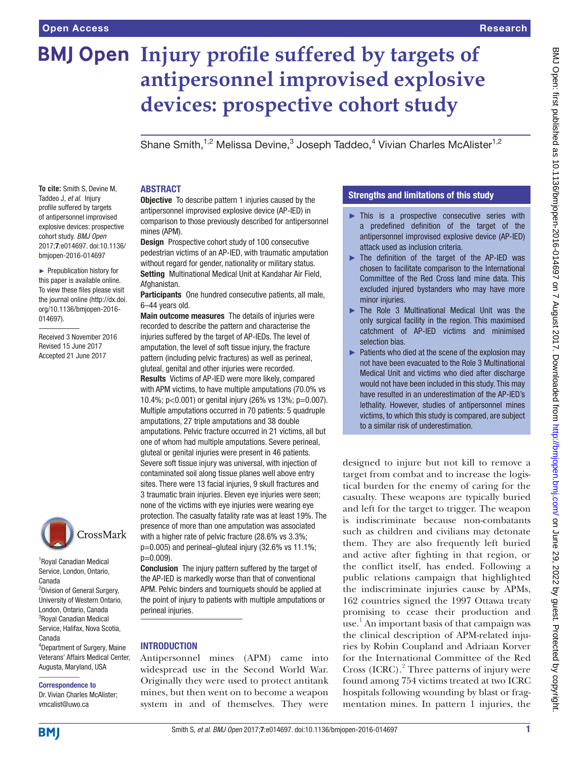# **BMJ Open** Injury profile suffered by targets of **antipersonnel improvised explosive devices: prospective cohort study**

Shane Smith,<sup>1,2</sup> Melissa Devine, $^3$  Joseph Taddeo, $^4$  Vivian Charles McAlister<sup>1,2</sup>

**To cite:** Smith S, Devine M, Taddeo J, *et al*. Injury profile suffered by targets of antipersonnel improvised explosive devices: prospective cohort study. *BMJ Open* 2017;7:e014697. doi:10.1136/ bmjopen-2016-014697

► Prepublication history for this paper is available online. To view these files please visit the journal online [\(http://dx.doi.](http://dx.doi.org/10.1136/bmjopen-2016-014697) [org/10.1136/bmjopen-2016-](http://dx.doi.org/10.1136/bmjopen-2016-014697) [014697\)](http://dx.doi.org/10.1136/bmjopen-2016-014697).

Received 3 November 2016 Revised 15 June 2017 Accepted 21 June 2017



1 Royal Canadian Medical Service, London, Ontario, Canada 2 Division of General Surgery, University of Western Ontario, London, Ontario, Canada <sup>3</sup>Royal Canadian Medical Service, Halifax, Nova Scotia, Canada 4 Department of Surgery, Maine Veterans' Affairs Medical Center, Augusta, Maryland, USA

#### Correspondence to

Dr. Vivian Charles McAlister; vmcalist@uwo.ca

## **ABSTRACT**

**Objective** To describe pattern 1 injuries caused by the antipersonnel improvised explosive device (AP-IED) in comparison to those previously described for antipersonnel mines (APM).

Design Prospective cohort study of 100 consecutive pedestrian victims of an AP-IED, with traumatic amputation without regard for gender, nationality or military status. Setting Multinational Medical Unit at Kandahar Air Field, Afghanistan.

Participants One hundred consecutive patients, all male, 6–44 years old.

Main outcome measures The details of injuries were recorded to describe the pattern and characterise the injuries suffered by the target of AP-IEDs. The level of amputation, the level of soft tissue injury, the fracture pattern (including pelvic fractures) as well as perineal, gluteal, genital and other injuries were recorded. Results Victims of AP-IED were more likely, compared with APM victims, to have multiple amputations (70.0% vs 10.4%; p<0.001) or genital injury (26% vs 13%; p=0.007). Multiple amputations occurred in 70 patients: 5 quadruple amputations, 27 triple amputations and 38 double amputations. Pelvic fracture occurred in 21 victims, all but one of whom had multiple amputations. Severe perineal, gluteal or genital injuries were present in 46 patients. Severe soft tissue injury was universal, with injection of contaminated soil along tissue planes well above entry sites. There were 13 facial injuries, 9 skull fractures and 3 traumatic brain injuries. Eleven eye injuries were seen; none of the victims with eye injuries were wearing eye protection. The casualty fatality rate was at least 19%. The presence of more than one amputation was associated with a higher rate of pelvic fracture (28.6% vs 3.3%; p=0.005) and perineal–gluteal injury (32.6% vs 11.1%; p=0.009).

Conclusion The injury pattern suffered by the target of the AP-IED is markedly worse than that of conventional APM. Pelvic binders and tourniquets should be applied at the point of injury to patients with multiple amputations or perineal injuries.

## **INTRODUCTION**

Antipersonnel mines (APM) came into widespread use in the Second World War. Originally they were used to protect antitank mines, but then went on to become a weapon system in and of themselves. They were

# Strengths and limitations of this study

- ► This is a prospective consecutive series with a predefined definition of the target of the antipersonnel improvised explosive device (AP-IED) attack used as inclusion criteria.
- ► The definition of the target of the AP-IED was chosen to facilitate comparison to the International Committee of the Red Cross land mine data. This excluded injured bystanders who may have more minor injuries.
- ► The Role 3 Multinational Medical Unit was the only surgical facility in the region. This maximised catchment of AP-IED victims and minimised selection bias.
- ► Patients who died at the scene of the explosion may not have been evacuated to the Role 3 Multinational Medical Unit and victims who died after discharge would not have been included in this study. This may have resulted in an underestimation of the AP-IED's lethality. However, studies of antipersonnel mines victims, to which this study is compared, are subject to a similar risk of underestimation.

designed to injure but not kill to remove a target from combat and to increase the logistical burden for the enemy of caring for the casualty. These weapons are typically buried and left for the target to trigger. The weapon is indiscriminate because non-combatants such as children and civilians may detonate them. They are also frequently left buried and active after fighting in that region, or the conflict itself, has ended. Following a public relations campaign that highlighted the indiscriminate injuries cause by APMs, 162 countries signed the 1997 Ottawa treaty promising to cease their production and use. [1](#page-6-0) An important basis of that campaign was the clinical description of APM-related injuries by Robin Coupland and Adriaan Korver for the International Committee of the Red Cross (ICRC).<sup>[2](#page-6-1)</sup> Three patterns of injury were found among 754 victims treated at two ICRC hospitals following wounding by blast or fragmentation mines. In pattern 1 injuries, the

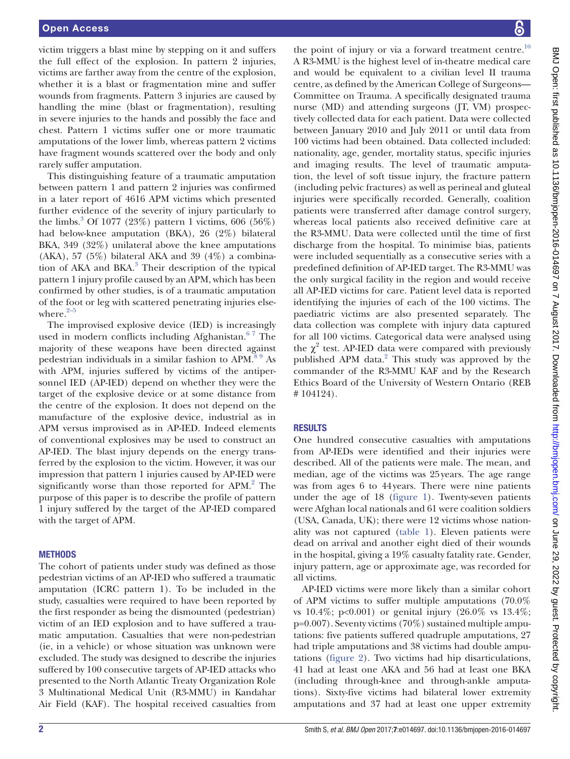victim triggers a blast mine by stepping on it and suffers the full effect of the explosion. In pattern 2 injuries, victims are farther away from the centre of the explosion, whether it is a blast or fragmentation mine and suffer wounds from fragments. Pattern 3 injuries are caused by handling the mine (blast or fragmentation), resulting in severe injuries to the hands and possibly the face and chest. Pattern 1 victims suffer one or more traumatic amputations of the lower limb, whereas pattern 2 victims have fragment wounds scattered over the body and only rarely suffer amputation.

This distinguishing feature of a traumatic amputation between pattern 1 and pattern 2 injuries was confirmed in a later report of 4616 APM victims which presented further evidence of the severity of injury particularly to the limbs.<sup>[3](#page-6-2)</sup> Of 1077 (23%) pattern 1 victims, 606 (56%) had below-knee amputation (BKA), 26 (2%) bilateral BKA, 349 (32%) unilateral above the knee amputations  $(AKA)$ , 57 (5%) bilateral AKA and 39 (4%) a combina-tion of AKA and BKA.<sup>[3](#page-6-2)</sup> Their description of the typical pattern 1 injury profile caused by an APM, which has been confirmed by other studies, is of a traumatic amputation of the foot or leg with scattered penetrating injuries elsewhere. $2-5$ 

The improvised explosive device (IED) is increasingly used in modern conflicts including Afghanistan.<sup>67</sup> The majority of these weapons have been directed against pedestrian individuals in a similar fashion to APM.[8 9](#page-6-4) As with APM, injuries suffered by victims of the antipersonnel IED (AP-IED) depend on whether they were the target of the explosive device or at some distance from the centre of the explosion. It does not depend on the manufacture of the explosive device, industrial as in APM versus improvised as in AP-IED. Indeed elements of conventional explosives may be used to construct an AP-IED. The blast injury depends on the energy transferred by the explosion to the victim. However, it was our impression that pattern 1 injuries caused by AP-IED were significantly worse than those reported for APM.<sup>[2](#page-6-1)</sup> The purpose of this paper is to describe the profile of pattern 1 injury suffered by the target of the AP-IED compared with the target of APM.

### **METHODS**

The cohort of patients under study was defined as those pedestrian victims of an AP-IED who suffered a traumatic amputation (ICRC pattern 1). To be included in the study, casualties were required to have been reported by the first responder as being the dismounted (pedestrian) victim of an IED explosion and to have suffered a traumatic amputation. Casualties that were non-pedestrian (ie, in a vehicle) or whose situation was unknown were excluded. The study was designed to describe the injuries suffered by 100 consecutive targets of AP-IED attacks who presented to the North Atlantic Treaty Organization Role 3 Multinational Medical Unit (R3-MMU) in Kandahar Air Field (KAF). The hospital received casualties from

the point of injury or via a forward treatment centre. $10$ A R3-MMU is the highest level of in-theatre medical care and would be equivalent to a civilian level II trauma centre, as defined by the American College of Surgeons— Committee on Trauma. A specifically designated trauma nurse (MD) and attending surgeons (JT, VM) prospectively collected data for each patient. Data were collected between January 2010 and July 2011 or until data from 100 victims had been obtained. Data collected included: nationality, age, gender, mortality status, specific injuries and imaging results. The level of traumatic amputation, the level of soft tissue injury, the fracture pattern (including pelvic fractures) as well as perineal and gluteal injuries were specifically recorded. Generally, coalition patients were transferred after damage control surgery, whereas local patients also received definitive care at the R3-MMU. Data were collected until the time of first discharge from the hospital. To minimise bias, patients were included sequentially as a consecutive series with a predefined definition of AP-IED target. The R3-MMU was the only surgical facility in the region and would receive all AP-IED victims for care. Patient level data is reported identifying the injuries of each of the 100 victims. The paediatric victims are also presented separately. The data collection was complete with injury data captured for all 100 victims. Categorical data were analysed using the  $\chi^2$  test. AP-IED data were compared with previously published APM data.<sup>[2](#page-6-1)</sup> This study was approved by the commander of the R3-MMU KAF and by the Research Ethics Board of the University of Western Ontario (REB # 104124).

## **RESULTS**

One hundred consecutive casualties with amputations from AP-IEDs were identified and their injuries were described. All of the patients were male. The mean, and median, age of the victims was 25years. The age range was from ages 6 to 44years. There were nine patients under the age of 18 ([figure](#page-2-0) 1). Twenty-seven patients were Afghan local nationals and 61 were coalition soldiers (USA, Canada, UK); there were 12 victims whose nationality was not captured [\(table](#page-2-1) 1). Eleven patients were dead on arrival and another eight died of their wounds in the hospital, giving a 19% casualty fatality rate. Gender, injury pattern, age or approximate age, was recorded for all victims.

AP-IED victims were more likely than a similar cohort of APM victims to suffer multiple amputations (70.0% vs 10.4%; p<0.001) or genital injury (26.0% vs 13.4%; p=0.007). Seventy victims (70%) sustained multiple amputations: five patients suffered quadruple amputations, 27 had triple amputations and 38 victims had double amputations ([figure](#page-3-0) 2). Two victims had hip disarticulations, 41 had at least one AKA and 56 had at least one BKA (including through-knee and through-ankle amputations). Sixty-five victims had bilateral lower extremity amputations and 37 had at least one upper extremity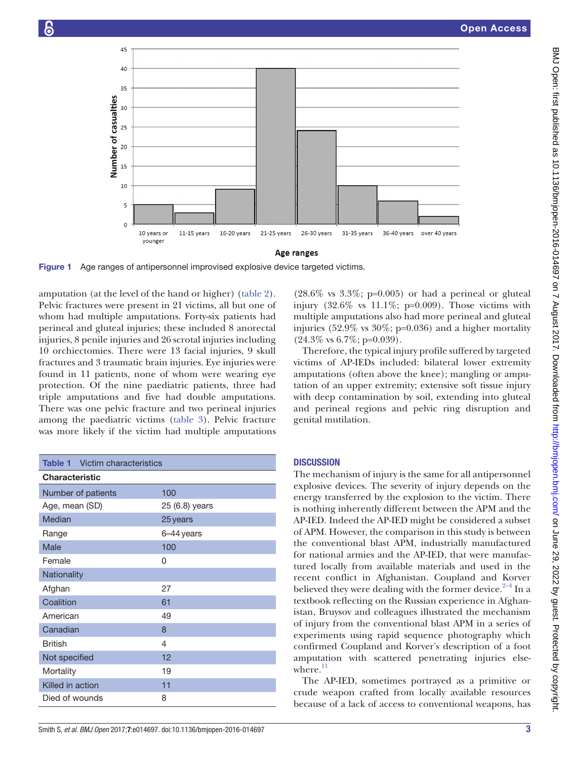

Figure 1 Age ranges of antipersonnel improvised explosive device targeted victims.

amputation (at the level of the hand or higher) [\(table](#page-4-0) 2). Pelvic fractures were present in 21 victims, all but one of whom had multiple amputations. Forty-six patients had perineal and gluteal injuries; these included 8 anorectal injuries, 8 penile injuries and 26 scrotal injuries including 10 orchiectomies. There were 13 facial injuries, 9 skull fractures and 3 traumatic brain injuries. Eye injuries were found in 11 patients, none of whom were wearing eye protection. Of the nine paediatric patients, three had triple amputations and five had double amputations. There was one pelvic fracture and two perineal injuries among the paediatric victims [\(table](#page-5-0) 3). Pelvic fracture was more likely if the victim had multiple amputations

<span id="page-2-1"></span>

| <b>Table 1</b> Victim characteristics |                |  |  |  |  |  |
|---------------------------------------|----------------|--|--|--|--|--|
| <b>Characteristic</b>                 |                |  |  |  |  |  |
| Number of patients                    | 100            |  |  |  |  |  |
| Age, mean (SD)                        | 25 (6.8) years |  |  |  |  |  |
| Median                                | 25 years       |  |  |  |  |  |
| Range                                 | 6-44 years     |  |  |  |  |  |
| Male                                  | 100            |  |  |  |  |  |
| Female                                | 0              |  |  |  |  |  |
| Nationality                           |                |  |  |  |  |  |
| Afghan                                | 27             |  |  |  |  |  |
| Coalition                             | 61             |  |  |  |  |  |
| American                              | 49             |  |  |  |  |  |
| Canadian                              | 8              |  |  |  |  |  |
| <b>British</b>                        | $\overline{4}$ |  |  |  |  |  |
| Not specified                         | 12             |  |  |  |  |  |
| Mortality                             | 19             |  |  |  |  |  |
| Killed in action                      | 11             |  |  |  |  |  |
| Died of wounds                        | 8              |  |  |  |  |  |

<span id="page-2-0"></span> $(28.6\% \text{ vs } 3.3\%; \text{ p} = 0.005) \text{ or had a perineal or gluted}$ injury  $(32.6\% \text{ vs } 11.1\%; \text{ p=0.009}).$  Those victims with multiple amputations also had more perineal and gluteal injuries (52.9% vs  $30\%$ ; p=0.036) and a higher mortality  $(24.3\% \text{ vs } 6.7\%; \text{p=0.039}).$ 

Therefore, the typical injury profile suffered by targeted victims of AP-IEDs included: bilateral lower extremity amputations (often above the knee); mangling or amputation of an upper extremity; extensive soft tissue injury with deep contamination by soil, extending into gluteal and perineal regions and pelvic ring disruption and genital mutilation.

## **DISCUSSION**

The mechanism of injury is the same for all antipersonnel explosive devices. The severity of injury depends on the energy transferred by the explosion to the victim. There is nothing inherently different between the APM and the AP-IED. Indeed the AP-IED might be considered a subset of APM. However, the comparison in this study is between the conventional blast APM, industrially manufactured for national armies and the AP-IED, that were manufactured locally from available materials and used in the recent conflict in Afghanistan. Coupland and Korver believed they were dealing with the former device.<sup>[2–4](#page-6-1)</sup> In a textbook reflecting on the Russian experience in Afghanistan, Bruysov and colleagues illustrated the mechanism of injury from the conventional blast APM in a series of experiments using rapid sequence photography which confirmed Coupland and Korver's description of a foot amputation with scattered penetrating injuries elsewhere. $^{11}$  $^{11}$  $^{11}$ 

The AP-IED, sometimes portrayed as a primitive or crude weapon crafted from locally available resources because of a lack of access to conventional weapons, has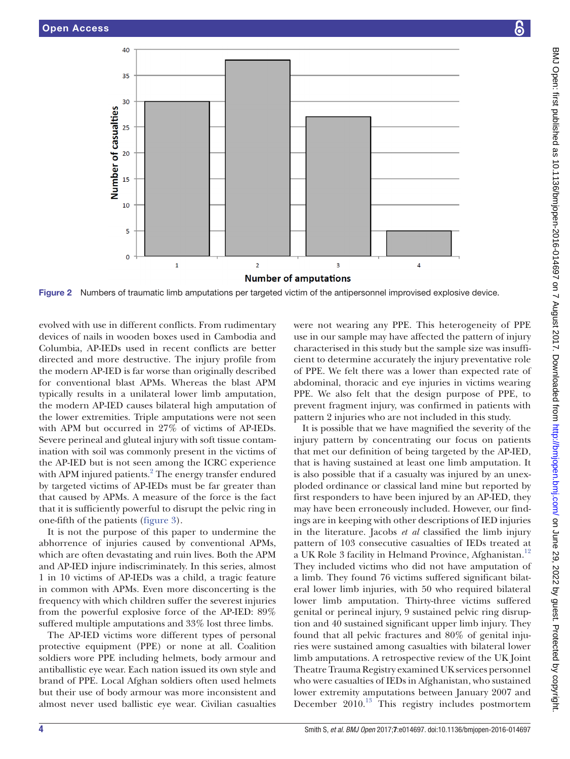

Figure 2 Numbers of traumatic limb amputations per targeted victim of the antipersonnel improvised explosive device.

evolved with use in different conflicts. From rudimentary devices of nails in wooden boxes used in Cambodia and Columbia, AP-IEDs used in recent conflicts are better directed and more destructive. The injury profile from the modern AP-IED is far worse than originally described for conventional blast APMs. Whereas the blast APM typically results in a unilateral lower limb amputation, the modern AP-IED causes bilateral high amputation of the lower extremities. Triple amputations were not seen with APM but occurred in 27% of victims of AP-IEDs. Severe perineal and gluteal injury with soft tissue contamination with soil was commonly present in the victims of the AP-IED but is not seen among the ICRC experience with APM injured patients.<sup>[2](#page-6-1)</sup> The energy transfer endured by targeted victims of AP-IEDs must be far greater than that caused by APMs. A measure of the force is the fact that it is sufficiently powerful to disrupt the pelvic ring in one-fifth of the patients [\(figure](#page-5-1) 3).

It is not the purpose of this paper to undermine the abhorrence of injuries caused by conventional APMs, which are often devastating and ruin lives. Both the APM and AP-IED injure indiscriminately. In this series, almost 1 in 10 victims of AP-IEDs was a child, a tragic feature in common with APMs. Even more disconcerting is the frequency with which children suffer the severest injuries from the powerful explosive force of the AP-IED: 89% suffered multiple amputations and 33% lost three limbs.

The AP-IED victims wore different types of personal protective equipment (PPE) or none at all. Coalition soldiers wore PPE including helmets, body armour and antiballistic eye wear. Each nation issued its own style and brand of PPE. Local Afghan soldiers often used helmets but their use of body armour was more inconsistent and almost never used ballistic eye wear. Civilian casualties

<span id="page-3-0"></span>were not wearing any PPE. This heterogeneity of PPE use in our sample may have affected the pattern of injury characterised in this study but the sample size was insufficient to determine accurately the injury preventative role of PPE. We felt there was a lower than expected rate of abdominal, thoracic and eye injuries in victims wearing PPE. We also felt that the design purpose of PPE, to prevent fragment injury, was confirmed in patients with pattern 2 injuries who are not included in this study.

It is possible that we have magnified the severity of the injury pattern by concentrating our focus on patients that met our definition of being targeted by the AP-IED, that is having sustained at least one limb amputation. It is also possible that if a casualty was injured by an unexploded ordinance or classical land mine but reported by first responders to have been injured by an AP-IED, they may have been erroneously included. However, our findings are in keeping with other descriptions of IED injuries in the literature. Jacobs *et al* classified the limb injury pattern of 103 consecutive casualties of IEDs treated at a UK Role 3 facility in Helmand Province, Afghanistan.<sup>12</sup> They included victims who did not have amputation of a limb. They found 76 victims suffered significant bilateral lower limb injuries, with 50 who required bilateral lower limb amputation. Thirty-three victims suffered genital or perineal injury, 9 sustained pelvic ring disruption and 40 sustained significant upper limb injury. They found that all pelvic fractures and 80% of genital injuries were sustained among casualties with bilateral lower limb amputations. A retrospective review of the UK Joint Theatre Trauma Registry examined UK services personnel who were casualties of IEDs in Afghanistan, who sustained lower extremity amputations between January 2007 and December 2010.<sup>13</sup> This registry includes postmortem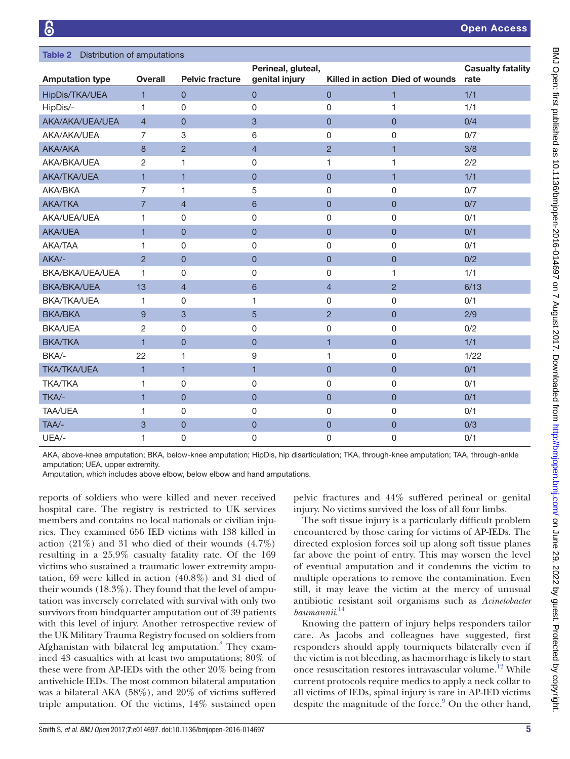<span id="page-4-0"></span>

| <b>Table 2</b> Distribution of amputations |                |                           |                    |                     |                                 |                          |  |  |
|--------------------------------------------|----------------|---------------------------|--------------------|---------------------|---------------------------------|--------------------------|--|--|
|                                            |                |                           | Perineal, gluteal, |                     |                                 | <b>Casualty fatality</b> |  |  |
| <b>Amputation type</b>                     | <b>Overall</b> | <b>Pelvic fracture</b>    | genital injury     |                     | Killed in action Died of wounds | rate                     |  |  |
| HipDis/TKA/UEA                             | $\mathbf{1}$   | $\mathbf{0}$              | $\theta$           | $\overline{0}$      | 1                               | 1/1                      |  |  |
| HipDis/-                                   | $\mathbf{1}$   | $\mathbf 0$               | $\mathbf 0$        | 0                   | $\mathbf{1}$                    | 1/1                      |  |  |
| AKA/AKA/UEA/UEA                            | $\overline{4}$ | $\pmb{0}$                 | 3                  | $\pmb{0}$           | $\pmb{0}$                       | 0/4                      |  |  |
| AKA/AKA/UEA                                | $\overline{7}$ | $\ensuremath{\mathsf{3}}$ | 6                  | $\mathsf 0$         | $\mathsf 0$                     | 0/7                      |  |  |
| AKA/AKA                                    | 8              | $\overline{2}$            | $\overline{4}$     | $\overline{c}$      | $\mathbf{1}$                    | 3/8                      |  |  |
| AKA/BKA/UEA                                | $\mathbf{2}$   | $\mathbf{1}$              | 0                  | 1                   | $\mathbf{1}$                    | 2/2                      |  |  |
| AKA/TKA/UEA                                | $\overline{1}$ | $\overline{1}$            | $\mathbf 0$        | $\overline{0}$      | $\mathbf{1}$                    | 1/1                      |  |  |
| AKA/BKA                                    | 7              | $\mathbf{1}$              | 5                  | 0                   | $\mathsf 0$                     | 0/7                      |  |  |
| <b>AKA/TKA</b>                             | $\overline{7}$ | $\overline{4}$            | 6                  | $\overline{0}$      | $\mathbf 0$                     | 0/7                      |  |  |
| AKA/UEA/UEA                                | 1              | $\mathbf 0$               | 0                  | 0                   | $\mathbf 0$                     | 0/1                      |  |  |
| <b>AKA/UEA</b>                             | $\mathbf{1}$   | $\mathbf 0$               | $\bf 0$            | $\pmb{0}$           | $\mathbf 0$                     | 0/1                      |  |  |
| AKA/TAA                                    | $\mathbf{1}$   | $\mathsf 0$               | $\mathbf 0$        | 0                   | $\mathsf 0$                     | 0/1                      |  |  |
| AKA/-                                      | $\overline{2}$ | $\overline{0}$            | $\overline{0}$     | $\overline{0}$      | $\overline{0}$                  | 0/2                      |  |  |
| BKA/BKA/UEA/UEA                            | 1              | 0                         | 0                  | 0                   | 1                               | 1/1                      |  |  |
| <b>BKA/BKA/UEA</b>                         | 13             | $\overline{4}$            | $6\phantom{1}6$    | $\overline{4}$      | $\overline{2}$                  | 6/13                     |  |  |
| BKA/TKA/UEA                                | 1              | $\mathsf 0$               | 1                  | $\mathsf{O}\xspace$ | $\mathsf 0$                     | 0/1                      |  |  |
| <b>BKA/BKA</b>                             | 9              | $\mathbf{3}$              | $\overline{5}$     | $\overline{c}$      | $\pmb{0}$                       | 2/9                      |  |  |
| <b>BKA/UEA</b>                             | $\overline{2}$ | $\mathbf 0$               | $\mathbf 0$        | $\mathsf 0$         | $\mathbf 0$                     | 0/2                      |  |  |
| <b>BKA/TKA</b>                             | $\overline{1}$ | $\mathbf 0$               | $\overline{0}$     | $\mathbf{1}$        | $\pmb{0}$                       | 1/1                      |  |  |
| BKA/-                                      | 22             | 1                         | 9                  | 1                   | $\mathsf 0$                     | 1/22                     |  |  |
| <b>TKA/TKA/UEA</b>                         | $\overline{1}$ | $\overline{1}$            | $\overline{1}$     | $\overline{0}$      | $\overline{0}$                  | 0/1                      |  |  |
| <b>TKA/TKA</b>                             | 1              | 0                         | 0                  | 0                   | $\mathsf 0$                     | 0/1                      |  |  |
| TKA/-                                      | $\overline{1}$ | $\mathbf 0$               | $\bf 0$            | $\mathsf{O}\xspace$ | $\pmb{0}$                       | 0/1                      |  |  |
| TAA/UEA                                    | 1              | $\mathbf 0$               | $\mathbf 0$        | 0                   | $\mathbf 0$                     | 0/1                      |  |  |
| TAA/-                                      | $\mathbf{3}$   | $\pmb{0}$                 | $\mathbf 0$        | $\mathsf{O}\xspace$ | $\pmb{0}$                       | 0/3                      |  |  |
| UEA/-                                      | 1              | 0                         | $\mathbf 0$        | 0                   | $\mathbf 0$                     | 0/1                      |  |  |

AKA, above-knee amputation; BKA, below-knee amputation; HipDis, hip disarticulation; TKA, through-knee amputation; TAA, through-ankle amputation; UEA, upper extremity.

Amputation, which includes above elbow, below elbow and hand amputations.

reports of soldiers who were killed and never received hospital care. The registry is restricted to UK services members and contains no local nationals or civilian injuries. They examined 656 IED victims with 138 killed in action (21%) and 31 who died of their wounds (4.7%) resulting in a 25.9% casualty fatality rate. Of the 169 victims who sustained a traumatic lower extremity amputation, 69 were killed in action (40.8%) and 31 died of their wounds (18.3%). They found that the level of amputation was inversely correlated with survival with only two survivors from hindquarter amputation out of 39 patients with this level of injury. Another retrospective review of the UK Military Trauma Registry focused on soldiers from Afghanistan with bilateral leg amputation.<sup>8</sup> They examined 43 casualties with at least two amputations; 80% of these were from AP-IEDs with the other 20% being from antivehicle IEDs. The most common bilateral amputation was a bilateral AKA (58%), and 20% of victims suffered triple amputation. Of the victims, 14% sustained open

pelvic fractures and 44% suffered perineal or genital injury. No victims survived the loss of all four limbs.

The soft tissue injury is a particularly difficult problem encountered by those caring for victims of AP-IEDs. The directed explosion forces soil up along soft tissue planes far above the point of entry. This may worsen the level of eventual amputation and it condemns the victim to multiple operations to remove the contamination. Even still, it may leave the victim at the mercy of unusual antibiotic resistant soil organisms such as *Acinetobacter baumannii*. [14](#page-6-9)

Knowing the pattern of injury helps responders tailor care. As Jacobs and colleagues have suggested, first responders should apply tourniquets bilaterally even if the victim is not bleeding, as haemorrhage is likely to start once resuscitation restores intravascular volume.<sup>12</sup> While current protocols require medics to apply a neck collar to all victims of IEDs, spinal injury is rare in AP-IED victims despite the magnitude of the force.<sup>9</sup> On the other hand,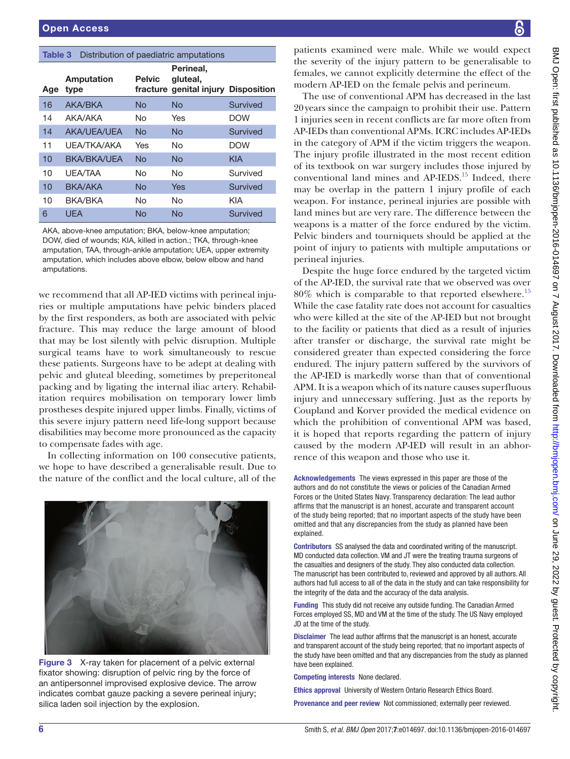#### <span id="page-5-0"></span>Table 3 Distribution of paediatric amputations

| Age | Amputation<br>type | <b>Pelvic</b> | Perineal,<br>gluteal,<br>fracture genital injury Disposition |            |
|-----|--------------------|---------------|--------------------------------------------------------------|------------|
| 16  | AKA/BKA            | No            | No                                                           | Survived   |
| 14  | AKA/AKA            | No            | Yes                                                          | <b>DOW</b> |
| 14  | AKA/UEA/UEA        | <b>No</b>     | No                                                           | Survived   |
| 11  | UEA/TKA/AKA        | Yes           | Nο                                                           | <b>DOW</b> |
| 10  | <b>BKA/BKA/UEA</b> | <b>No</b>     | <b>No</b>                                                    | KIA        |
| 10  | UEA/TAA            | Nο            | <b>No</b>                                                    | Survived   |
| 10  | BKA/AKA            | <b>No</b>     | <b>Yes</b>                                                   | Survived   |
| 10  | <b>BKA/BKA</b>     | Nο            | N٥                                                           | KIA        |
| 6   | UFA                | Nο            | No                                                           | Survived   |

AKA, above-knee amputation; BKA, below-knee amputation; DOW, died of wounds; KIA, killed in action.; TKA, through-knee amputation, TAA, through-ankle amputation; UEA, upper extremity amputation, which includes above elbow, below elbow and hand amputations.

we recommend that all AP-IED victims with perineal injuries or multiple amputations have pelvic binders placed by the first responders, as both are associated with pelvic fracture. This may reduce the large amount of blood that may be lost silently with pelvic disruption. Multiple surgical teams have to work simultaneously to rescue these patients. Surgeons have to be adept at dealing with pelvic and gluteal bleeding, sometimes by preperitoneal packing and by ligating the internal iliac artery. Rehabilitation requires mobilisation on temporary lower limb prostheses despite injured upper limbs. Finally, victims of this severe injury pattern need life-long support because disabilities may become more pronounced as the capacity to compensate fades with age.

In collecting information on 100 consecutive patients, we hope to have described a generalisable result. Due to the nature of the conflict and the local culture, all of the

<span id="page-5-1"></span>

Figure 3 X-ray taken for placement of a pelvic external fixator showing: disruption of pelvic ring by the force of an antipersonnel improvised explosive device. The arrow indicates combat gauze packing a severe perineal injury; silica laden soil injection by the explosion.

patients examined were male. While we would expect the severity of the injury pattern to be generalisable to females, we cannot explicitly determine the effect of the modern AP-IED on the female pelvis and perineum.

The use of conventional APM has decreased in the last 20years since the campaign to prohibit their use. Pattern 1 injuries seen in recent conflicts are far more often from AP-IEDs than conventional APMs. ICRC includes AP-IEDs in the category of APM if the victim triggers the weapon. The injury profile illustrated in the most recent edition of its textbook on war surgery includes those injured by conventional land mines and AP-IEDS.<sup>[15](#page-6-11)</sup> Indeed, there may be overlap in the pattern 1 injury profile of each weapon. For instance, perineal injuries are possible with land mines but are very rare. The difference between the weapons is a matter of the force endured by the victim. Pelvic binders and tourniquets should be applied at the point of injury to patients with multiple amputations or perineal injuries.

Despite the huge force endured by the targeted victim of the AP-IED, the survival rate that we observed was over  $80\%$  which is comparable to that reported elsewhere.<sup>15</sup> While the case fatality rate does not account for casualties who were killed at the site of the AP-IED but not brought to the facility or patients that died as a result of injuries after transfer or discharge, the survival rate might be considered greater than expected considering the force endured. The injury pattern suffered by the survivors of the AP-IED is markedly worse than that of conventional APM. It is a weapon which of its nature causes superfluous injury and unnecessary suffering. Just as the reports by Coupland and Korver provided the medical evidence on which the prohibition of conventional APM was based, it is hoped that reports regarding the pattern of injury caused by the modern AP-IED will result in an abhorrence of this weapon and those who use it.

Acknowledgements The views expressed in this paper are those of the authors and do not constitute the views or policies of the Canadian Armed Forces or the United States Navy. Transparency declaration: The lead author affirms that the manuscript is an honest, accurate and transparent account of the study being reported; that no important aspects of the study have been omitted and that any discrepancies from the study as planned have been explained.

Contributors SS analysed the data and coordinated writing of the manuscript. MD conducted data collection. VM and JT were the treating trauma surgeons of the casualties and designers of the study. They also conducted data collection. The manuscript has been contributed to, reviewed and approved by all authors. All authors had full access to all of the data in the study and can take responsibility for the integrity of the data and the accuracy of the data analysis.

Funding This study did not receive any outside funding. The Canadian Armed Forces employed SS, MD and VM at the time of the study. The US Navy employed JD at the time of the study.

**Disclaimer** The lead author affirms that the manuscript is an honest, accurate and transparent account of the study being reported; that no important aspects of the study have been omitted and that any discrepancies from the study as planned have been explained.

Competing interests None declared.

Ethics approval University of Western Ontario Research Ethics Board.

Provenance and peer review Not commissioned; externally peer reviewed.